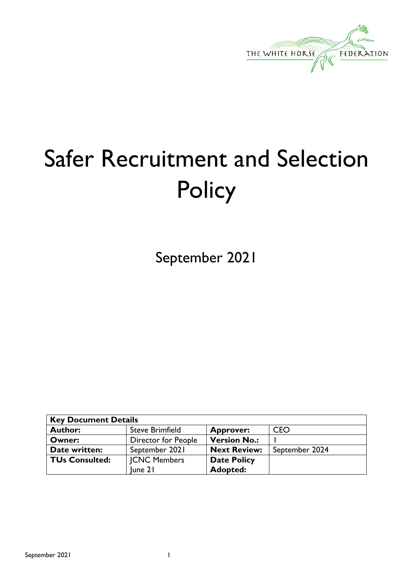

# Safer Recruitment and Selection **Policy**

September 2021

| <b>Key Document Details</b> |                        |                     |                |
|-----------------------------|------------------------|---------------------|----------------|
| <b>Author:</b>              | <b>Steve Brimfield</b> | <b>Approver:</b>    | <b>CEO</b>     |
| Owner:                      | Director for People    | <b>Version No.:</b> |                |
| Date written:               | September 2021         | <b>Next Review:</b> | September 2024 |
| <b>TUs Consulted:</b>       | <b>JCNC Members</b>    | <b>Date Policy</b>  |                |
|                             | une 2                  | <b>Adopted:</b>     |                |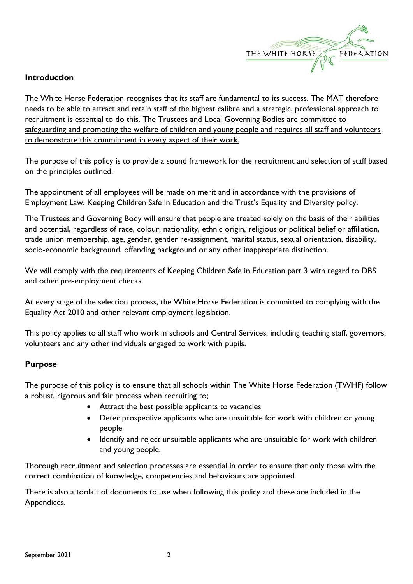

#### **Introduction**

The White Horse Federation recognises that its staff are fundamental to its success. The MAT therefore needs to be able to attract and retain staff of the highest calibre and a strategic, professional approach to recruitment is essential to do this. The Trustees and Local Governing Bodies are committed to safeguarding and promoting the welfare of children and young people and requires all staff and volunteers to demonstrate this commitment in every aspect of their work.

The purpose of this policy is to provide a sound framework for the recruitment and selection of staff based on the principles outlined.

The appointment of all employees will be made on merit and in accordance with the provisions of Employment Law, Keeping Children Safe in Education and the Trust's Equality and Diversity policy.

The Trustees and Governing Body will ensure that people are treated solely on the basis of their abilities and potential, regardless of race, colour, nationality, ethnic origin, religious or political belief or affiliation, trade union membership, age, gender, gender re-assignment, marital status, sexual orientation, disability, socio-economic background, offending background or any other inappropriate distinction.

We will comply with the requirements of Keeping Children Safe in Education part 3 with regard to DBS and other pre-employment checks.

At every stage of the selection process, the White Horse Federation is committed to complying with the Equality Act 2010 and other relevant employment legislation.

This policy applies to all staff who work in schools and Central Services, including teaching staff, governors, volunteers and any other individuals engaged to work with pupils.

#### **Purpose**

The purpose of this policy is to ensure that all schools within The White Horse Federation (TWHF) follow a robust, rigorous and fair process when recruiting to;

- Attract the best possible applicants to vacancies
- Deter prospective applicants who are unsuitable for work with children or young people
- Identify and reject unsuitable applicants who are unsuitable for work with children and young people.

Thorough recruitment and selection processes are essential in order to ensure that only those with the correct combination of knowledge, competencies and behaviours are appointed.

There is also a toolkit of documents to use when following this policy and these are included in the Appendices.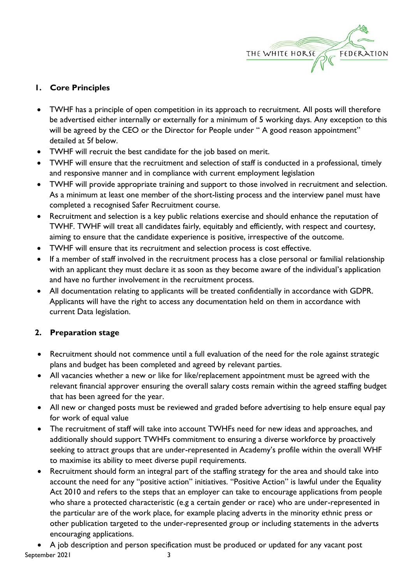

#### **1. Core Principles**

- TWHF has a principle of open competition in its approach to recruitment. All posts will therefore be advertised either internally or externally for a minimum of 5 working days. Any exception to this will be agreed by the CEO or the Director for People under "A good reason appointment" detailed at 5f below.
- TWHF will recruit the best candidate for the job based on merit.
- TWHF will ensure that the recruitment and selection of staff is conducted in a professional, timely and responsive manner and in compliance with current employment legislation
- TWHF will provide appropriate training and support to those involved in recruitment and selection. As a minimum at least one member of the short-listing process and the interview panel must have completed a recognised Safer Recruitment course.
- Recruitment and selection is a key public relations exercise and should enhance the reputation of TWHF. TWHF will treat all candidates fairly, equitably and efficiently, with respect and courtesy, aiming to ensure that the candidate experience is positive, irrespective of the outcome.
- TWHF will ensure that its recruitment and selection process is cost effective.
- If a member of staff involved in the recruitment process has a close personal or familial relationship with an applicant they must declare it as soon as they become aware of the individual's application and have no further involvement in the recruitment process.
- All documentation relating to applicants will be treated confidentially in accordance with GDPR. Applicants will have the right to access any documentation held on them in accordance with current Data legislation.

### **2. Preparation stage**

- Recruitment should not commence until a full evaluation of the need for the role against strategic plans and budget has been completed and agreed by relevant parties.
- All vacancies whether a new or like for like/replacement appointment must be agreed with the relevant financial approver ensuring the overall salary costs remain within the agreed staffing budget that has been agreed for the year.
- All new or changed posts must be reviewed and graded before advertising to help ensure equal pay for work of equal value
- The recruitment of staff will take into account TWHFs need for new ideas and approaches, and additionally should support TWHFs commitment to ensuring a diverse workforce by proactively seeking to attract groups that are under-represented in Academy's profile within the overall WHF to maximise its ability to meet diverse pupil requirements.
- Recruitment should form an integral part of the staffing strategy for the area and should take into account the need for any "positive action" initiatives. "Positive Action" is lawful under the Equality Act 2010 and refers to the steps that an employer can take to encourage applications from people who share a protected characteristic (e.g a certain gender or race) who are under-represented in the particular are of the work place, for example placing adverts in the minority ethnic press or other publication targeted to the under-represented group or including statements in the adverts encouraging applications.

September 2021 3 • A job description and person specification must be produced or updated for any vacant post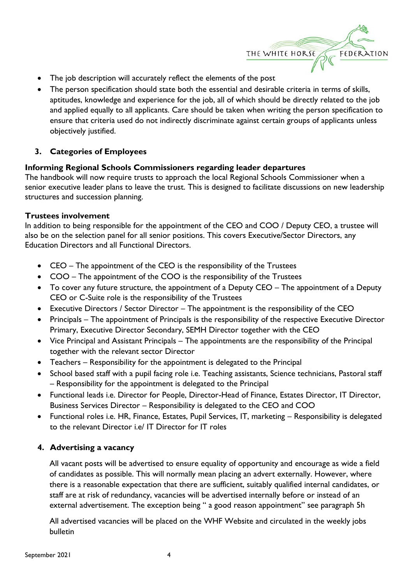

- The job description will accurately reflect the elements of the post
- The person specification should state both the essential and desirable criteria in terms of skills, aptitudes, knowledge and experience for the job, all of which should be directly related to the job and applied equally to all applicants. Care should be taken when writing the person specification to ensure that criteria used do not indirectly discriminate against certain groups of applicants unless objectively justified.

#### **3. Categories of Employees**

#### **Informing Regional Schools Commissioners regarding leader departures**

The handbook will now require trusts to approach the local Regional Schools Commissioner when a senior executive leader plans to leave the trust. This is designed to facilitate discussions on new leadership structures and succession planning.

#### **Trustees involvement**

In addition to being responsible for the appointment of the CEO and COO / Deputy CEO, a trustee will also be on the selection panel for all senior positions. This covers Executive/Sector Directors, any Education Directors and all Functional Directors.

- CEO The appointment of the CEO is the responsibility of the Trustees
- COO The appointment of the COO is the responsibility of the Trustees
- To cover any future structure, the appointment of a Deputy CEO The appointment of a Deputy CEO or C-Suite role is the responsibility of the Trustees
- Executive Directors / Sector Director The appointment is the responsibility of the CEO
- Principals The appointment of Principals is the responsibility of the respective Executive Director Primary, Executive Director Secondary, SEMH Director together with the CEO
- Vice Principal and Assistant Principals The appointments are the responsibility of the Principal together with the relevant sector Director
- Teachers Responsibility for the appointment is delegated to the Principal
- School based staff with a pupil facing role i.e. Teaching assistants, Science technicians, Pastoral staff – Responsibility for the appointment is delegated to the Principal
- Functional leads i.e. Director for People, Director-Head of Finance, Estates Director, IT Director, Business Services Director – Responsibility is delegated to the CEO and COO
- Functional roles i.e. HR, Finance, Estates, Pupil Services, IT, marketing Responsibility is delegated to the relevant Director i.e/ IT Director for IT roles

#### **4. Advertising a vacancy**

All vacant posts will be advertised to ensure equality of opportunity and encourage as wide a field of candidates as possible. This will normally mean placing an advert externally. However, where there is a reasonable expectation that there are sufficient, suitably qualified internal candidates, or staff are at risk of redundancy, vacancies will be advertised internally before or instead of an external advertisement. The exception being " a good reason appointment" see paragraph 5h

All advertised vacancies will be placed on the WHF Website and circulated in the weekly jobs bulletin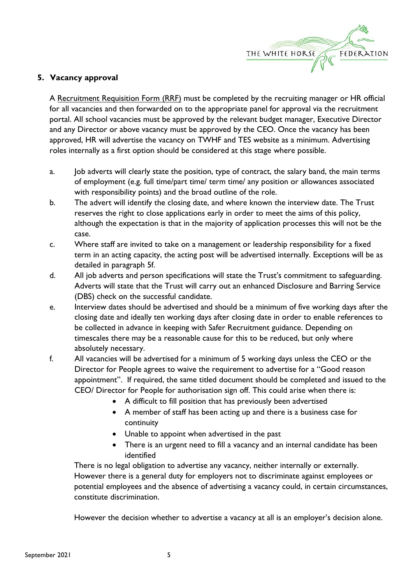

#### **5. Vacancy approval**

A Recruitment Requisition Form (RRF) must be completed by the recruiting manager or HR official for all vacancies and then forwarded on to the appropriate panel for approval via the recruitment portal. All school vacancies must be approved by the relevant budget manager, Executive Director and any Director or above vacancy must be approved by the CEO. Once the vacancy has been approved, HR will advertise the vacancy on TWHF and TES website as a minimum. Advertising roles internally as a first option should be considered at this stage where possible.

- a. Job adverts will clearly state the position, type of contract, the salary band, the main terms of employment (e.g. full time/part time/ term time/ any position or allowances associated with responsibility points) and the broad outline of the role.
- b. The advert will identify the closing date, and where known the interview date. The Trust reserves the right to close applications early in order to meet the aims of this policy, although the expectation is that in the majority of application processes this will not be the case.
- c. Where staff are invited to take on a management or leadership responsibility for a fixed term in an acting capacity, the acting post will be advertised internally. Exceptions will be as detailed in paragraph 5f.
- d. All job adverts and person specifications will state the Trust's commitment to safeguarding. Adverts will state that the Trust will carry out an enhanced Disclosure and Barring Service (DBS) check on the successful candidate.
- e. Interview dates should be advertised and should be a minimum of five working days after the closing date and ideally ten working days after closing date in order to enable references to be collected in advance in keeping with Safer Recruitment guidance. Depending on timescales there may be a reasonable cause for this to be reduced, but only where absolutely necessary.
- f. All vacancies will be advertised for a minimum of 5 working days unless the CEO or the Director for People agrees to waive the requirement to advertise for a "Good reason appointment". If required, the same titled document should be completed and issued to the CEO/ Director for People for authorisation sign off. This could arise when there is:
	- A difficult to fill position that has previously been advertised
	- A member of staff has been acting up and there is a business case for continuity
	- Unable to appoint when advertised in the past
	- There is an urgent need to fill a vacancy and an internal candidate has been identified

There is no legal obligation to advertise any vacancy, neither internally or externally. However there is a general duty for employers not to discriminate against employees or potential employees and the absence of advertising a vacancy could, in certain circumstances, constitute discrimination.

However the decision whether to advertise a vacancy at all is an employer's decision alone.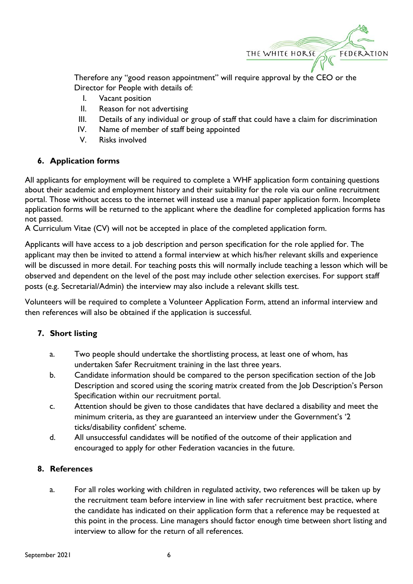

Therefore any "good reason appointment" will require approval by the CEO or the Director for People with details of:

- I. Vacant position
- II. Reason for not advertising
- III. Details of any individual or group of staff that could have a claim for discrimination
- IV. Name of member of staff being appointed
- V. Risks involved

#### **6. Application forms**

All applicants for employment will be required to complete a WHF application form containing questions about their academic and employment history and their suitability for the role via our online recruitment portal. Those without access to the internet will instead use a manual paper application form. Incomplete application forms will be returned to the applicant where the deadline for completed application forms has not passed.

A Curriculum Vitae (CV) will not be accepted in place of the completed application form.

Applicants will have access to a job description and person specification for the role applied for. The applicant may then be invited to attend a formal interview at which his/her relevant skills and experience will be discussed in more detail. For teaching posts this will normally include teaching a lesson which will be observed and dependent on the level of the post may include other selection exercises. For support staff posts (e.g. Secretarial/Admin) the interview may also include a relevant skills test.

Volunteers will be required to complete a Volunteer Application Form, attend an informal interview and then references will also be obtained if the application is successful.

#### **7. Short listing**

- a. Two people should undertake the shortlisting process, at least one of whom, has undertaken Safer Recruitment training in the last three years.
- b. Candidate information should be compared to the person specification section of the Job Description and scored using the scoring matrix created from the Job Description's Person Specification within our recruitment portal.
- c. Attention should be given to those candidates that have declared a disability and meet the minimum criteria, as they are guaranteed an interview under the Government's '2 ticks/disability confident' scheme.
- d. All unsuccessful candidates will be notified of the outcome of their application and encouraged to apply for other Federation vacancies in the future.

#### **8. References**

a. For all roles working with children in regulated activity, two references will be taken up by the recruitment team before interview in line with safer recruitment best practice, where the candidate has indicated on their application form that a reference may be requested at this point in the process. Line managers should factor enough time between short listing and interview to allow for the return of all references.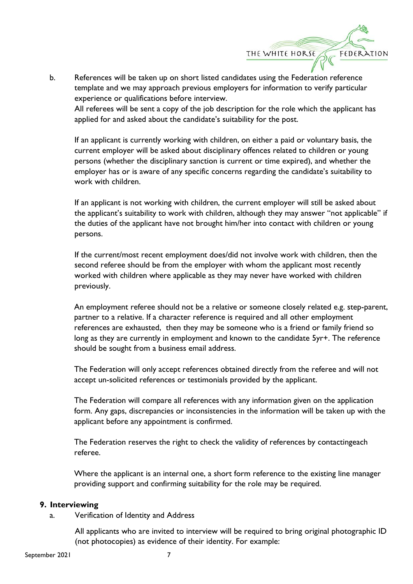THE WHITE HORSE

FEDERATION

b. References will be taken up on short listed candidates using the Federation reference template and we may approach previous employers for information to verify particular experience or qualifications before interview.

All referees will be sent a copy of the job description for the role which the applicant has applied for and asked about the candidate's suitability for the post.

If an applicant is currently working with children, on either a paid or voluntary basis, the current employer will be asked about disciplinary offences related to children or young persons (whether the disciplinary sanction is current or time expired), and whether the employer has or is aware of any specific concerns regarding the candidate's suitability to work with children.

If an applicant is not working with children, the current employer will still be asked about the applicant's suitability to work with children, although they may answer "not applicable" if the duties of the applicant have not brought him/her into contact with children or young persons.

If the current/most recent employment does/did not involve work with children, then the second referee should be from the employer with whom the applicant most recently worked with children where applicable as they may never have worked with children previously.

An employment referee should not be a relative or someone closely related e.g. step-parent, partner to a relative. If a character reference is required and all other employment references are exhausted, then they may be someone who is a friend or family friend so long as they are currently in employment and known to the candidate 5yr+. The reference should be sought from a business email address.

The Federation will only accept references obtained directly from the referee and will not accept un-solicited references or testimonials provided by the applicant.

The Federation will compare all references with any information given on the application form. Any gaps, discrepancies or inconsistencies in the information will be taken up with the applicant before any appointment is confirmed.

The Federation reserves the right to check the validity of references by contactingeach referee.

Where the applicant is an internal one, a short form reference to the existing line manager providing support and confirming suitability for the role may be required.

#### **9. Interviewing**

a. Verification of Identity and Address

All applicants who are invited to interview will be required to bring original photographic ID (not photocopies) as evidence of their identity. For example: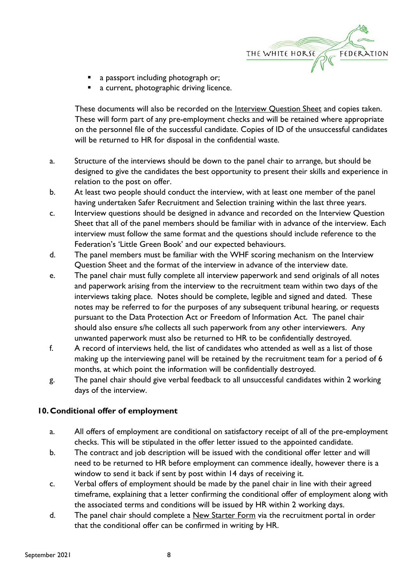

- a passport including photograph or;
- a current, photographic driving licence.

These documents will also be recorded on the **Interview Question Sheet** and copies taken. These will form part of any pre-employment checks and will be retained where appropriate on the personnel file of the successful candidate. Copies of ID of the unsuccessful candidates will be returned to HR for disposal in the confidential waste.

- a. Structure of the interviews should be down to the panel chair to arrange, but should be designed to give the candidates the best opportunity to present their skills and experience in relation to the post on offer.
- b. At least two people should conduct the interview, with at least one member of the panel having undertaken Safer Recruitment and Selection training within the last three years.
- c. Interview questions should be designed in advance and recorded on the Interview Question Sheet that all of the panel members should be familiar with in advance of the interview. Each interview must follow the same format and the questions should include reference to the Federation's 'Little Green Book' and our expected behaviours.
- d. The panel members must be familiar with the WHF scoring mechanism on the Interview Question Sheet and the format of the interview in advance of the interview date.
- e. The panel chair must fully complete all interview paperwork and send originals of all notes and paperwork arising from the interview to the recruitment team within two days of the interviews taking place. Notes should be complete, legible and signed and dated. These notes may be referred to for the purposes of any subsequent tribunal hearing, or requests pursuant to the Data Protection Act or Freedom of Information Act. The panel chair should also ensure s/he collects all such paperwork from any other interviewers. Any unwanted paperwork must also be returned to HR to be confidentially destroyed.
- f. A record of interviews held, the list of candidates who attended as well as a list of those making up the interviewing panel will be retained by the recruitment team for a period of 6 months, at which point the information will be confidentially destroyed.
- g. The panel chair should give verbal feedback to all unsuccessful candidates within 2 working days of the interview.

#### **10.Conditional offer of employment**

- a. All offers of employment are conditional on satisfactory receipt of all of the pre-employment checks. This will be stipulated in the offer letter issued to the appointed candidate.
- b. The contract and job description will be issued with the conditional offer letter and will need to be returned to HR before employment can commence ideally, however there is a window to send it back if sent by post within 14 days of receiving it.
- c. Verbal offers of employment should be made by the panel chair in line with their agreed timeframe, explaining that a letter confirming the conditional offer of employment along with the associated terms and conditions will be issued by HR within 2 working days.
- d. The panel chair should complete a New Starter Form via the recruitment portal in order that the conditional offer can be confirmed in writing by HR.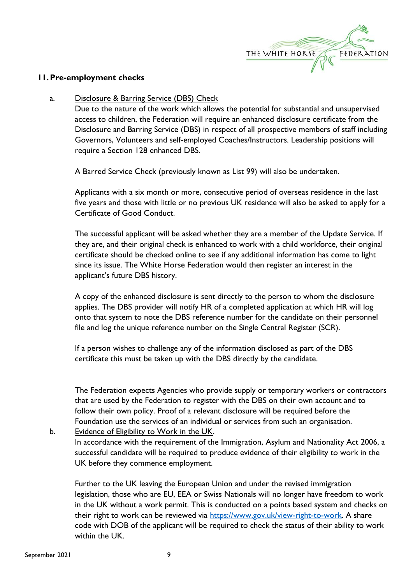

#### **11.Pre-employment checks**

#### a. Disclosure & Barring Service (DBS) Check

Due to the nature of the work which allows the potential for substantial and unsupervised access to children, the Federation will require an enhanced disclosure certificate from the Disclosure and Barring Service (DBS) in respect of all prospective members of staff including Governors, Volunteers and self-employed Coaches/Instructors. Leadership positions will require a Section 128 enhanced DBS.

A Barred Service Check (previously known as List 99) will also be undertaken.

Applicants with a six month or more, consecutive period of overseas residence in the last five years and those with little or no previous UK residence will also be asked to apply for a Certificate of Good Conduct.

The successful applicant will be asked whether they are a member of the Update Service. If they are, and their original check is enhanced to work with a child workforce, their original certificate should be checked online to see if any additional information has come to light since its issue. The White Horse Federation would then register an interest in the applicant's future DBS history.

A copy of the enhanced disclosure is sent directly to the person to whom the disclosure applies. The DBS provider will notify HR of a completed application at which HR will log onto that system to note the DBS reference number for the candidate on their personnel file and log the unique reference number on the Single Central Register (SCR).

If a person wishes to challenge any of the information disclosed as part of the DBS certificate this must be taken up with the DBS directly by the candidate.

The Federation expects Agencies who provide supply or temporary workers or contractors that are used by the Federation to register with the DBS on their own account and to follow their own policy. Proof of a relevant disclosure will be required before the Foundation use the services of an individual or services from such an organisation.

b. Evidence of Eligibility to Work in the UK.

In accordance with the requirement of the Immigration, Asylum and Nationality Act 2006, a successful candidate will be required to produce evidence of their eligibility to work in the UK before they commence employment.

Further to the UK leaving the European Union and under the revised immigration legislation, those who are EU, EEA or Swiss Nationals will no longer have freedom to work in the UK without a work permit. This is conducted on a points based system and checks on their right to work can be reviewed via [https://www.gov.uk/view-right-to-work.](https://www.gov.uk/view-right-to-work) A share code with DOB of the applicant will be required to check the status of their ability to work within the UK.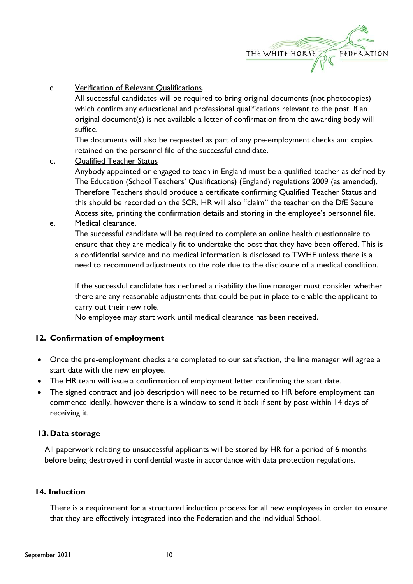

c. Verification of Relevant Qualifications.

All successful candidates will be required to bring original documents (not photocopies) which confirm any educational and professional qualifications relevant to the post. If an original document(s) is not available a letter of confirmation from the awarding body will suffice.

The documents will also be requested as part of any pre-employment checks and copies retained on the personnel file of the successful candidate.

d. Qualified Teacher Status

Anybody appointed or engaged to teach in England must be a qualified teacher as defined by The Education (School Teachers' Qualifications) (England) regulations 2009 (as amended). Therefore Teachers should produce a certificate confirming Qualified Teacher Status and this should be recorded on the SCR. HR will also "claim" the teacher on the DfE Secure Access site, printing the confirmation details and storing in the employee's personnel file.

#### e. Medical clearance.

The successful candidate will be required to complete an online health questionnaire to ensure that they are medically fit to undertake the post that they have been offered. This is a confidential service and no medical information is disclosed to TWHF unless there is a need to recommend adjustments to the role due to the disclosure of a medical condition.

If the successful candidate has declared a disability the line manager must consider whether there are any reasonable adjustments that could be put in place to enable the applicant to carry out their new role.

No employee may start work until medical clearance has been received.

#### **12. Confirmation of employment**

- Once the pre-employment checks are completed to our satisfaction, the line manager will agree a start date with the new employee.
- The HR team will issue a confirmation of employment letter confirming the start date.
- The signed contract and job description will need to be returned to HR before employment can commence ideally, however there is a window to send it back if sent by post within 14 days of receiving it.

#### **13.Data storage**

All paperwork relating to unsuccessful applicants will be stored by HR for a period of 6 months before being destroyed in confidential waste in accordance with data protection regulations.

#### **14. Induction**

There is a requirement for a structured induction process for all new employees in order to ensure that they are effectively integrated into the Federation and the individual School.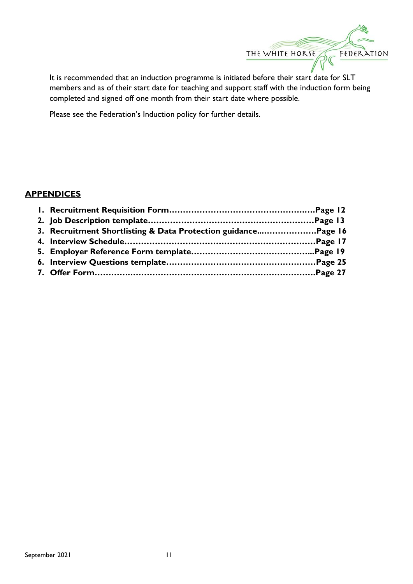

It is recommended that an induction programme is initiated before their start date for SLT members and as of their start date for teaching and support staff with the induction form being completed and signed off one month from their start date where possible.

Please see the Federation's Induction policy for further details.

#### **APPENDICES**

| 3. Recruitment Shortlisting & Data Protection guidancePage 16 |  |
|---------------------------------------------------------------|--|
|                                                               |  |
|                                                               |  |
|                                                               |  |
|                                                               |  |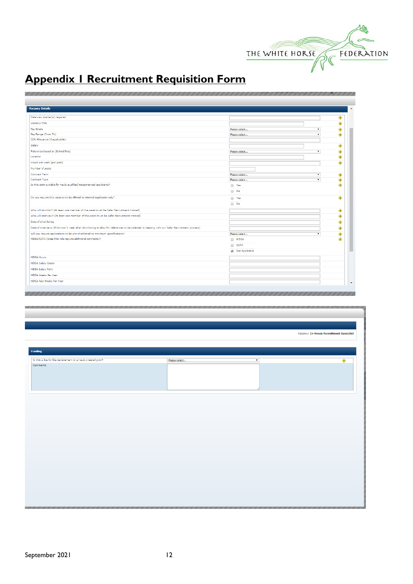

# **Appendix 1 Recruitment Requisition Form**

| <b>Vacancy Details</b>                                                                                                                       |                |                          |           |
|----------------------------------------------------------------------------------------------------------------------------------------------|----------------|--------------------------|-----------|
| Date new starter(s) required                                                                                                                 |                |                          | ۰         |
| Vacancy Title                                                                                                                                |                |                          | ۰         |
| Pav Grade                                                                                                                                    | Please select  | $\pmb{\mathrm{v}}$       | ۰         |
| Pay Range (From To)                                                                                                                          | Please select  | ۰.                       | ۰         |
| SEN Allowance (if applicable):                                                                                                               |                |                          |           |
| Salary                                                                                                                                       |                |                          | ۰         |
| Role to be based at (School/Site)                                                                                                            | Please select  | $\overline{\mathbf{r}}$  | ۰         |
| Location                                                                                                                                     |                |                          | ۰         |
| Hours per week (per post)                                                                                                                    |                |                          | ۰         |
| Number of posts                                                                                                                              |                |                          |           |
| Contract Term                                                                                                                                | Please select  | $\pmb{\mathrm{v}}$       |           |
| Contract Type                                                                                                                                | Please select  | $\overline{\phantom{0}}$ | ۰<br>۰    |
| Is this post suitable for newly qualified/inexperienced applicants?                                                                          | ○ Yes          |                          | ۰         |
|                                                                                                                                              | $\bigcirc$ No  |                          |           |
|                                                                                                                                              |                |                          |           |
| Do you require this vacancy to be offered to internal applicants only?                                                                       | O Yes          |                          | ۰         |
|                                                                                                                                              | $\bigcirc$ No  |                          |           |
| Who will shortlist? (At least one member of the panel must be Safer Recruitment trained)                                                     |                |                          | ۰         |
| Who will interview? (At least one member of the panel must be Safer Recruitment trained)                                                     |                |                          | ۰         |
| Date of shortlisting                                                                                                                         |                |                          | ۰         |
| Date of interviews (Minimum 1 week after shortlisting to allow for references to be collected in keeping with our Safer Recruitment process) |                |                          | $\bullet$ |
| Will you require applications to be pre-shortlisted to minimum specifications?                                                               | Please select  | ▼                        | ۰         |
| MDSA/CCTA (Does this role require additional contracts?)                                                                                     | MDSA           |                          | ⊕         |
|                                                                                                                                              | $\Box$ CCTA    |                          |           |
|                                                                                                                                              | Not Applicable |                          |           |
|                                                                                                                                              |                |                          |           |
| <b>MDSA Hours</b>                                                                                                                            |                |                          |           |
| <b>MDSA Salary Grade</b>                                                                                                                     |                |                          |           |
| <b>MDSA Salary Point</b>                                                                                                                     |                |                          |           |
| MDSA Weeks Per Year                                                                                                                          |                |                          |           |
| MDSA Paid Weeks Per Year                                                                                                                     |                |                          |           |
|                                                                                                                                              |                |                          |           |
|                                                                                                                                              |                |                          |           |
|                                                                                                                                              |                |                          |           |
|                                                                                                                                              |                |                          |           |

| ◈<br>Please select<br>$\overline{\phantom{0}}$ |                                                              |                                          |
|------------------------------------------------|--------------------------------------------------------------|------------------------------------------|
|                                                |                                                              | Vacancy: In-House Recruitment Specialist |
|                                                |                                                              |                                          |
|                                                |                                                              |                                          |
|                                                | Funding                                                      |                                          |
|                                                | Is this a like for like replacement or a newly created post? |                                          |
|                                                | Comments                                                     |                                          |
|                                                |                                                              |                                          |
|                                                |                                                              |                                          |
|                                                |                                                              |                                          |
|                                                |                                                              |                                          |
|                                                |                                                              |                                          |
|                                                |                                                              |                                          |
|                                                |                                                              |                                          |
|                                                |                                                              |                                          |
|                                                |                                                              |                                          |
|                                                |                                                              |                                          |
|                                                |                                                              |                                          |
|                                                |                                                              |                                          |
|                                                |                                                              |                                          |
|                                                |                                                              |                                          |
|                                                |                                                              |                                          |
|                                                |                                                              |                                          |
|                                                |                                                              |                                          |
|                                                |                                                              |                                          |
|                                                |                                                              |                                          |
|                                                |                                                              |                                          |
|                                                |                                                              |                                          |
|                                                |                                                              |                                          |
|                                                |                                                              |                                          |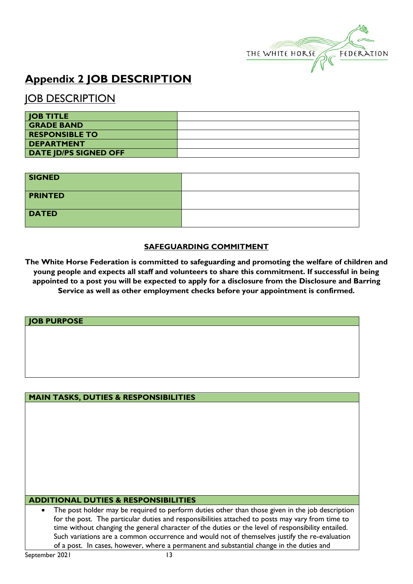

# **Appendix 2 JOB DESCRIPTION**

## **JOB DESCRIPTION**

| <b>JOB TITLE</b>             |  |
|------------------------------|--|
| <b>GRADE BAND</b>            |  |
| <b>RESPONSIBLE TO</b>        |  |
| <b>DEPARTMENT</b>            |  |
| <b>DATE JD/PS SIGNED OFF</b> |  |

| <b>SIGNED</b>  |  |
|----------------|--|
| <b>PRINTED</b> |  |
| <b>DATED</b>   |  |

#### **SAFEGUARDING COMMITMENT**

**The White Horse Federation is committed to safeguarding and promoting the welfare of children and young people and expects all staff and volunteers to share this commitment. If successful in being appointed to a post you will be expected to apply for a disclosure from the Disclosure and Barring Service as well as other employment checks before your appointment is confirmed.**

#### **JOB PURPOSE**

#### **MAIN TASKS, DUTIES & RESPONSIBILITIES**

#### **ADDITIONAL DUTIES & RESPONSIBILITIES**

• The post holder may be required to perform duties other than those given in the job description for the post. The particular duties and responsibilities attached to posts may vary from time to time without changing the general character of the duties or the level of responsibility entailed. Such variations are a common occurrence and would not of themselves justify the re-evaluation of a post. In cases, however, where a permanent and substantial change in the duties and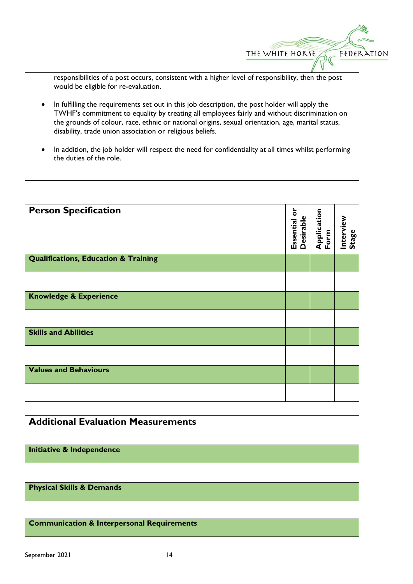THE WHITE HORSE

FEDERATION

responsibilities of a post occurs, consistent with a higher level of responsibility, then the post would be eligible for re-evaluation.

- In fulfilling the requirements set out in this job description, the post holder will apply the TWHF's commitment to equality by treating all employees fairly and without discrimination on the grounds of colour, race, ethnic or national origins, sexual orientation, age, marital status, disability, trade union association or religious beliefs.
- In addition, the job holder will respect the need for confidentiality at all times whilst performing the duties of the role.

| <b>Person Specification</b>                     | ㅎ<br><b>Desirable</b><br>Essential | Application<br>Form | Interview<br>Stage |
|-------------------------------------------------|------------------------------------|---------------------|--------------------|
| <b>Qualifications, Education &amp; Training</b> |                                    |                     |                    |
|                                                 |                                    |                     |                    |
| <b>Knowledge &amp; Experience</b>               |                                    |                     |                    |
|                                                 |                                    |                     |                    |
| <b>Skills and Abilities</b>                     |                                    |                     |                    |
|                                                 |                                    |                     |                    |
| <b>Values and Behaviours</b>                    |                                    |                     |                    |
|                                                 |                                    |                     |                    |

| <b>Additional Evaluation Measurements</b>             |  |
|-------------------------------------------------------|--|
| <b>Initiative &amp; Independence</b>                  |  |
|                                                       |  |
| <b>Physical Skills &amp; Demands</b>                  |  |
|                                                       |  |
| <b>Communication &amp; Interpersonal Requirements</b> |  |
|                                                       |  |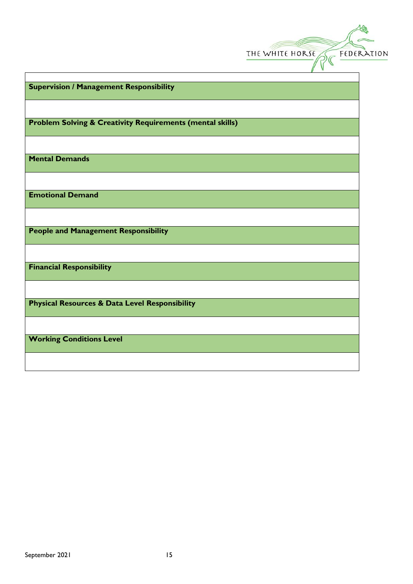|                                                                      | THE WHITE HORSE | FEDERATION |
|----------------------------------------------------------------------|-----------------|------------|
| <b>Supervision / Management Responsibility</b>                       |                 |            |
| <b>Problem Solving &amp; Creativity Requirements (mental skills)</b> |                 |            |
| <b>Mental Demands</b>                                                |                 |            |
| <b>Emotional Demand</b>                                              |                 |            |
| <b>People and Management Responsibility</b>                          |                 |            |
| <b>Financial Responsibility</b>                                      |                 |            |
| <b>Physical Resources &amp; Data Level Responsibility</b>            |                 |            |
| <b>Working Conditions Level</b>                                      |                 |            |
|                                                                      |                 |            |

 $\frac{1}{6}$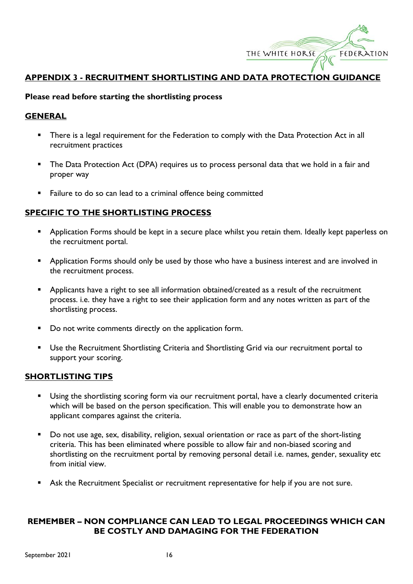

#### **APPENDIX 3 - RECRUITMENT SHORTLISTING AND DATA PROTECTION GUIDANCE**

#### **Please read before starting the shortlisting process**

#### **GENERAL**

- There is a legal requirement for the Federation to comply with the Data Protection Act in all recruitment practices
- **•** The Data Protection Act (DPA) requires us to process personal data that we hold in a fair and proper way
- Failure to do so can lead to a criminal offence being committed

#### **SPECIFIC TO THE SHORTLISTING PROCESS**

- Application Forms should be kept in a secure place whilst you retain them. Ideally kept paperless on the recruitment portal.
- Application Forms should only be used by those who have a business interest and are involved in the recruitment process.
- **•** Applicants have a right to see all information obtained/created as a result of the recruitment process. i.e. they have a right to see their application form and any notes written as part of the shortlisting process.
- Do not write comments directly on the application form.
- Use the Recruitment Shortlisting Criteria and Shortlisting Grid via our recruitment portal to support your scoring.

#### **SHORTLISTING TIPS**

- Using the shortlisting scoring form via our recruitment portal, have a clearly documented criteria which will be based on the person specification. This will enable you to demonstrate how an applicant compares against the criteria.
- Do not use age, sex, disability, religion, sexual orientation or race as part of the short-listing criteria. This has been eliminated where possible to allow fair and non-biased scoring and shortlisting on the recruitment portal by removing personal detail i.e. names, gender, sexuality etc from initial view.
- Ask the Recruitment Specialist or recruitment representative for help if you are not sure.

#### **REMEMBER – NON COMPLIANCE CAN LEAD TO LEGAL PROCEEDINGS WHICH CAN BE COSTLY AND DAMAGING FOR THE FEDERATION**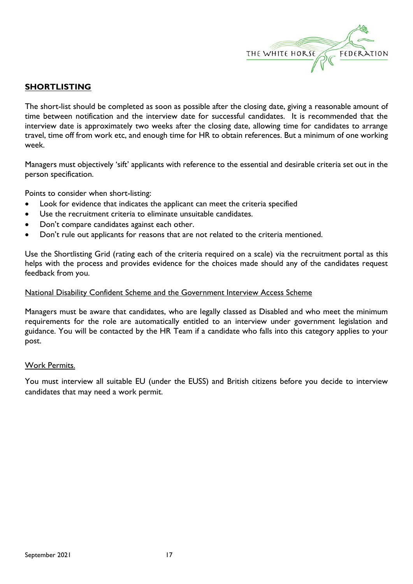

#### **SHORTLISTING**

The short-list should be completed as soon as possible after the closing date, giving a reasonable amount of time between notification and the interview date for successful candidates. It is recommended that the interview date is approximately two weeks after the closing date, allowing time for candidates to arrange travel, time off from work etc, and enough time for HR to obtain references. But a minimum of one working week.

Managers must objectively 'sift' applicants with reference to the essential and desirable criteria set out in the person specification.

Points to consider when short-listing:

- Look for evidence that indicates the applicant can meet the criteria specified
- Use the recruitment criteria to eliminate unsuitable candidates.
- Don't compare candidates against each other.
- Don't rule out applicants for reasons that are not related to the criteria mentioned.

Use the Shortlisting Grid (rating each of the criteria required on a scale) via the recruitment portal as this helps with the process and provides evidence for the choices made should any of the candidates request feedback from you.

#### National Disability Confident Scheme and the Government Interview Access Scheme

Managers must be aware that candidates, who are legally classed as Disabled and who meet the minimum requirements for the role are automatically entitled to an interview under government legislation and guidance. You will be contacted by the HR Team if a candidate who falls into this category applies to your post.

#### Work Permits.

You must interview all suitable EU (under the EUSS) and British citizens before you decide to interview candidates that may need a work permit.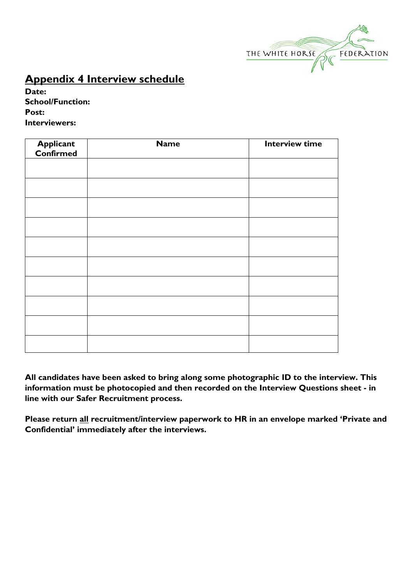

# **Appendix 4 Interview schedule**

**Date: School/Function: Post: Interviewers:** 

| <b>Applicant</b><br>Confirmed | <b>Name</b> | <b>Interview time</b> |
|-------------------------------|-------------|-----------------------|
|                               |             |                       |
|                               |             |                       |
|                               |             |                       |
|                               |             |                       |
|                               |             |                       |
|                               |             |                       |
|                               |             |                       |
|                               |             |                       |
|                               |             |                       |
|                               |             |                       |

**All candidates have been asked to bring along some photographic ID to the interview. This information must be photocopied and then recorded on the Interview Questions sheet - in line with our Safer Recruitment process.**

**Please return all recruitment/interview paperwork to HR in an envelope marked 'Private and Confidential' immediately after the interviews.**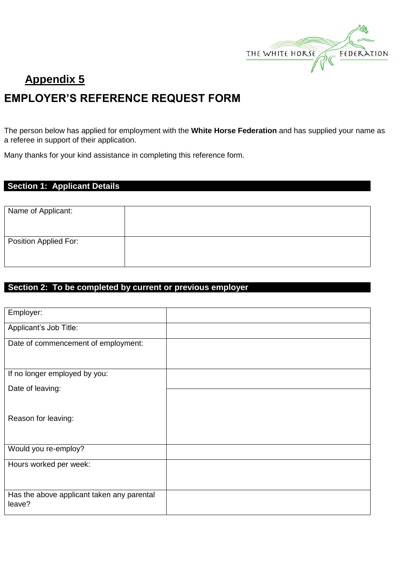

# **Appendix 5 EMPLOYER'S REFERENCE REQUEST FORM**

The person below has applied for employment with the **White Horse Federation** and has supplied your name as a referee in support of their application.

Many thanks for your kind assistance in completing this reference form.

#### **Section 1: Applicant Details**

| Name of Applicant:    |  |
|-----------------------|--|
| Position Applied For: |  |
|                       |  |

#### **Section 2: To be completed by current or previous employer**

| Employer:                                            |  |
|------------------------------------------------------|--|
| Applicant's Job Title:                               |  |
| Date of commencement of employment:                  |  |
| If no longer employed by you:                        |  |
| Date of leaving:                                     |  |
| Reason for leaving:                                  |  |
| Would you re-employ?                                 |  |
| Hours worked per week:                               |  |
| Has the above applicant taken any parental<br>leave? |  |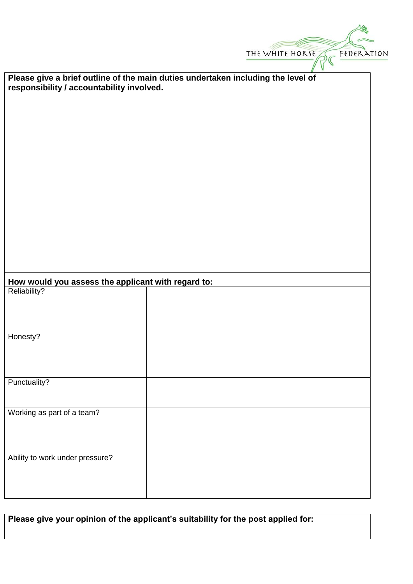|                                                    | FEDERATION<br>THE WHITE HORSE                                                    |
|----------------------------------------------------|----------------------------------------------------------------------------------|
|                                                    |                                                                                  |
|                                                    | Please give a brief outline of the main duties undertaken including the level of |
| responsibility / accountability involved.          |                                                                                  |
|                                                    |                                                                                  |
|                                                    |                                                                                  |
|                                                    |                                                                                  |
|                                                    |                                                                                  |
|                                                    |                                                                                  |
|                                                    |                                                                                  |
|                                                    |                                                                                  |
|                                                    |                                                                                  |
|                                                    |                                                                                  |
|                                                    |                                                                                  |
|                                                    |                                                                                  |
|                                                    |                                                                                  |
|                                                    |                                                                                  |
|                                                    |                                                                                  |
|                                                    |                                                                                  |
| How would you assess the applicant with regard to: |                                                                                  |
| Reliability?                                       |                                                                                  |
|                                                    |                                                                                  |
|                                                    |                                                                                  |
|                                                    |                                                                                  |
| Honesty?                                           |                                                                                  |
|                                                    |                                                                                  |
|                                                    |                                                                                  |
|                                                    |                                                                                  |
| Punctuality?                                       |                                                                                  |
|                                                    |                                                                                  |
| Working as part of a team?                         |                                                                                  |
|                                                    |                                                                                  |
|                                                    |                                                                                  |
|                                                    |                                                                                  |
| Ability to work under pressure?                    |                                                                                  |
|                                                    |                                                                                  |
|                                                    |                                                                                  |
|                                                    |                                                                                  |

| Please give your opinion of the applicant's suitability for the post applied for: |  |
|-----------------------------------------------------------------------------------|--|
|-----------------------------------------------------------------------------------|--|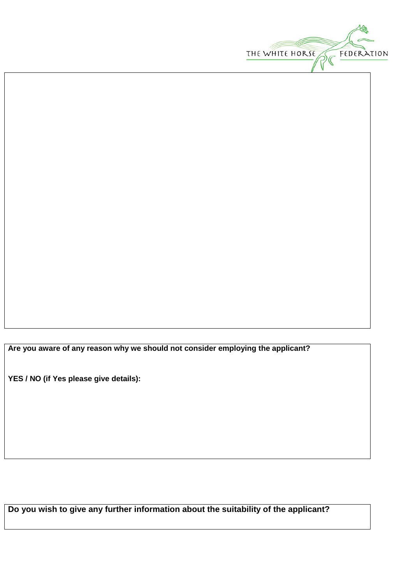

**Are you aware of any reason why we should not consider employing the applicant?**

**YES / NO (if Yes please give details):**

**Do you wish to give any further information about the suitability of the applicant?**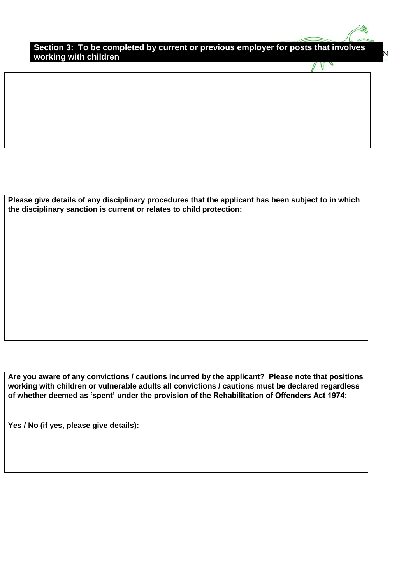**Section 3: To be completed by current or previous employer for posts that involves working with children** 

V

**Please give details of any disciplinary procedures that the applicant has been subject to in which the disciplinary sanction is current or relates to child protection:**

**Are you aware of any convictions / cautions incurred by the applicant? Please note that positions working with children or vulnerable adults all convictions / cautions must be declared regardless of whether deemed as 'spent' under the provision of the Rehabilitation of Offenders Act 1974:**

**Yes / No (if yes, please give details):**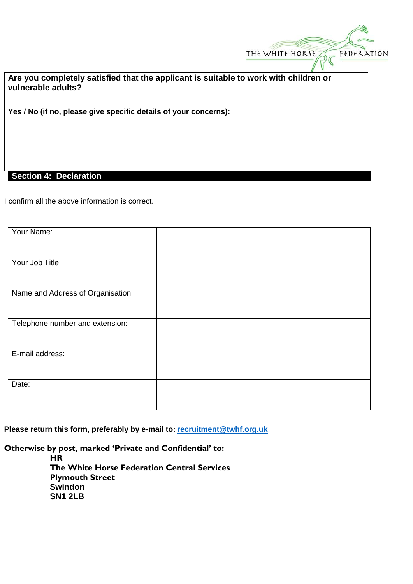

**Are you completely satisfied that the applicant is suitable to work with children or vulnerable adults?**

**Yes / No (if no, please give specific details of your concerns):** 

#### **Section 4: Declaration**

I confirm all the above information is correct.

| Your Name:                        |  |
|-----------------------------------|--|
|                                   |  |
| Your Job Title:                   |  |
|                                   |  |
|                                   |  |
| Name and Address of Organisation: |  |
|                                   |  |
|                                   |  |
| Telephone number and extension:   |  |
|                                   |  |
|                                   |  |
| E-mail address:                   |  |
|                                   |  |
|                                   |  |
| Date:                             |  |
|                                   |  |
|                                   |  |

**Please return this form, preferably by e-mail to: [recruitment@twhf.org.uk](mailto:recruitment@twhf.org.uk)**

**Otherwise by post, marked 'Private and Confidential' to:**

**HR The White Horse Federation Central Services Plymouth Street Swindon SN1 2LB**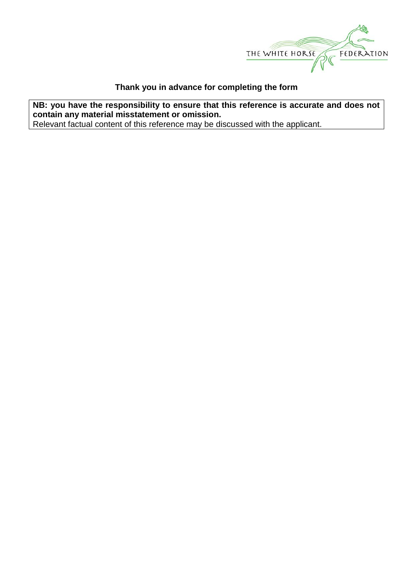

#### **Thank you in advance for completing the form**

**NB: you have the responsibility to ensure that this reference is accurate and does not contain any material misstatement or omission.** Relevant factual content of this reference may be discussed with the applicant.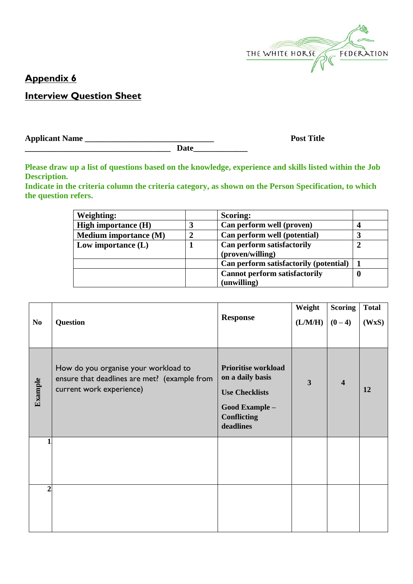

## **Appendix 6**

## **Interview Question Sheet**

**Applicant Name \_\_\_\_\_\_\_\_\_\_\_\_\_\_\_\_\_\_\_\_\_\_\_\_\_\_\_\_\_\_\_ Post Title** 

Date

**Please draw up a list of questions based on the knowledge, experience and skills listed within the Job Description.** 

**Indicate in the criteria column the criteria category, as shown on the Person Specification, to which the question refers.**

| Weighting:                   |   | <b>Scoring:</b>                                |   |
|------------------------------|---|------------------------------------------------|---|
| <b>High importance (H)</b>   | 3 | Can perform well (proven)                      |   |
| <b>Medium importance (M)</b> | 2 | Can perform well (potential)                   |   |
| Low importance $(L)$         |   | Can perform satisfactorily<br>(proven/willing) |   |
|                              |   | Can perform satisfactorily (potential)         |   |
|                              |   | <b>Cannot perform satisfactorily</b>           | 0 |
|                              |   | (unwilling)                                    |   |

| N <sub>0</sub> | <b>Question</b>                                                                                                  | <b>Response</b>                                                                                                              | Weight<br>(L/M/H) | <b>Scoring</b><br>$(0-4)$ | <b>Total</b><br>(WxS) |
|----------------|------------------------------------------------------------------------------------------------------------------|------------------------------------------------------------------------------------------------------------------------------|-------------------|---------------------------|-----------------------|
| Example        | How do you organise your workload to<br>ensure that deadlines are met? (example from<br>current work experience) | <b>Prioritise workload</b><br>on a daily basis<br><b>Use Checklists</b><br>Good Example -<br><b>Conflicting</b><br>deadlines | 3                 | $\overline{\mathbf{4}}$   | 12                    |
|                |                                                                                                                  |                                                                                                                              |                   |                           |                       |
| $\overline{2}$ |                                                                                                                  |                                                                                                                              |                   |                           |                       |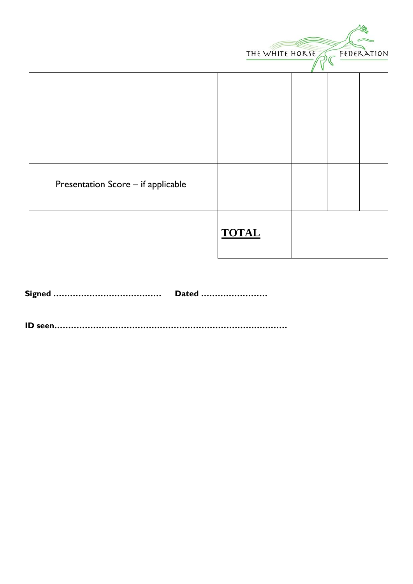|                                    | THE WHITE HORSE |  | FEDERATION |
|------------------------------------|-----------------|--|------------|
|                                    |                 |  |            |
|                                    |                 |  |            |
| Presentation Score - if applicable |                 |  |            |
|                                    | <b>TOTAL</b>    |  |            |

|  | Dated |
|--|-------|
|--|-------|

**ID seen…………………………………………………………………………**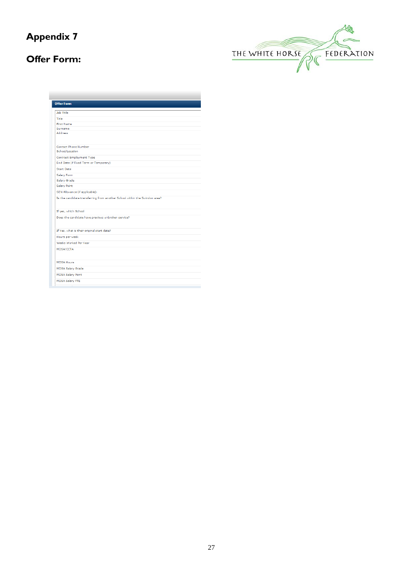# **Appendix 7**

## **Offer Form:**



| <b>Offer Form</b> |                                                                            |
|-------------------|----------------------------------------------------------------------------|
| Job Title         |                                                                            |
| Title             |                                                                            |
| <b>First Name</b> |                                                                            |
| Surname           |                                                                            |
| Address           |                                                                            |
|                   | Contact Phone Number                                                       |
|                   | School/Location                                                            |
|                   | Contract Employment Type                                                   |
|                   | End Date (if Fixed Term or Temporary)                                      |
| <b>Start Date</b> |                                                                            |
| Salary Form       |                                                                            |
| Salary Grade      |                                                                            |
| Salary Point      |                                                                            |
|                   | SEN Allowance (if applicable):                                             |
|                   | Is the candidate transferring from another School within the Swindon area? |
|                   | If yes, which School                                                       |
|                   | Does the candidate have previous unbroken service?                         |
|                   | If Yes, what is their original start date?                                 |
|                   | Hours per week                                                             |
|                   | Weeks Worked Per Vear                                                      |
| MDSA/CCTA         |                                                                            |
| <b>MDSA Hours</b> |                                                                            |
|                   | <b>MDSA Salary Grade</b>                                                   |
|                   | <b>MDSA Salary Point</b>                                                   |
|                   | <b>MDSA Salary FTE</b>                                                     |